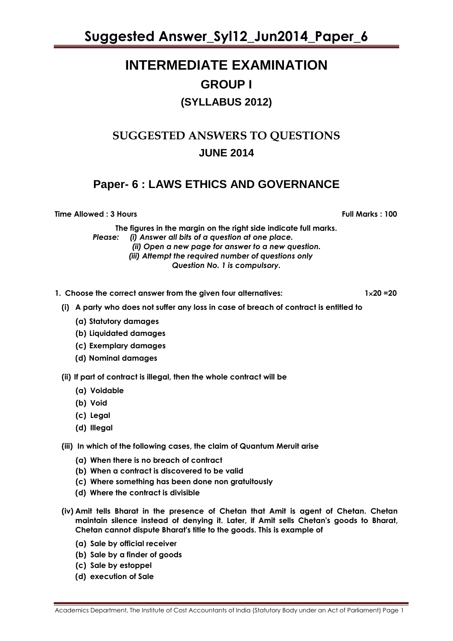# **INTERMEDIATE EXAMINATION GROUP I**

### **(SYLLABUS 2012)**

### **SUGGESTED ANSWERS TO QUESTIONS JUNE 2014**

### **Paper- 6 : LAWS ETHICS AND GOVERNANCE**

**Time Allowed : 3 Hours Full Marks Full Marks : 100** 

**The figures in the margin on the right side indicate full marks.**

 *Please: (i) Answer all bits of a question at one place.*

*(ii) Open a new page for answer to a new question. (iii) Attempt the required number of questions only Question No. 1 is compulsory.*

**1. Choose the correct answer from the given four alternatives: 120 =20**

- **(i) A party who does not suffer any loss in case of breach of contract is entitled to** 
	- **(a) Statutory damages**
	- **(b) Liquidated damages**
	- **(c) Exemplary damages**
	- **(d) Nominal damages**
- **(ii) If part of contract is illegal, then the whole contract will be**
	- **(a) Voidable**
	- **(b) Void**
	- **(c) Legal**
	- **(d) Illegal**
- **(iii) In which of the following cases, the claim of Quantum Meruit arise**
	- **(a) When there is no breach of contract**
	- **(b) When a contract is discovered to be valid**
	- **(c) Where something has been done non gratuitously**
	- **(d) Where the contract is divisible**
- **(iv) Amit tells Bharat in the presence of Chetan that Amit is agent of Chetan. Chetan maintain silence instead of denying it. Later, if Amit sells Chetan's goods to Bharat, Chetan cannot dispute Bharat's title to the goods. This is example of**
	- **(a) Sale by official receiver**
	- **(b) Sale by a finder of goods**
	- **(c) Sale by estoppel**
	- **(d) execution of Sale**

Academics Department, The Institute of Cost Accountants of India (Statutory Body under an Act of Parliament) Page 1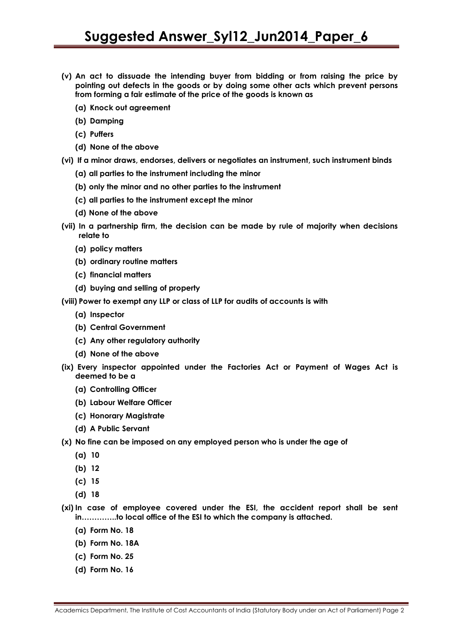- **(v) An act to dissuade the intending buyer from bidding or from raising the price by pointing out defects in the goods or by doing some other acts which prevent persons from forming a fair estimate of the price of the goods is known as**
	- **(a) Knock out agreement**
	- **(b) Damping**
	- **(c) Puffers**
	- **(d) None of the above**
- **(vi) If a minor draws, endorses, delivers or negotiates an instrument, such instrument binds**
	- **(a) all parties to the instrument including the minor**
	- **(b) only the minor and no other parties to the instrument**
	- **(c) all parties to the instrument except the minor**
	- **(d) None of the above**
- **(vii) In a partnership firm, the decision can be made by rule of majority when decisions relate to**
	- **(a) policy matters**
	- **(b) ordinary routine matters**
	- **(c) financial matters**
	- **(d) buying and selling of property**
- **(viii) Power to exempt any LLP or class of LLP for audits of accounts is with**
	- **(a) Inspector**
	- **(b) Central Government**
	- **(c) Any other regulatory authority**
	- **(d) None of the above**
- **(ix) Every inspector appointed under the Factories Act or Payment of Wages Act is deemed to be a**
	- **(a) Controlling Officer**
	- **(b) Labour Welfare Officer**
	- **(c) Honorary Magistrate**
	- **(d) A Public Servant**
- **(x) No fine can be imposed on any employed person who is under the age of**
	- **(a) 10**
	- **(b) 12**
	- **(c) 15**
	- **(d) 18**
- **(xi) In case of employee covered under the ESI, the accident report shall be sent in…………..to local office of the ESI to which the company is attached.**
	- **(a) Form No. 18**
	- **(b) Form No. 18A**
	- **(c) Form No. 25**
	- **(d) Form No. 16**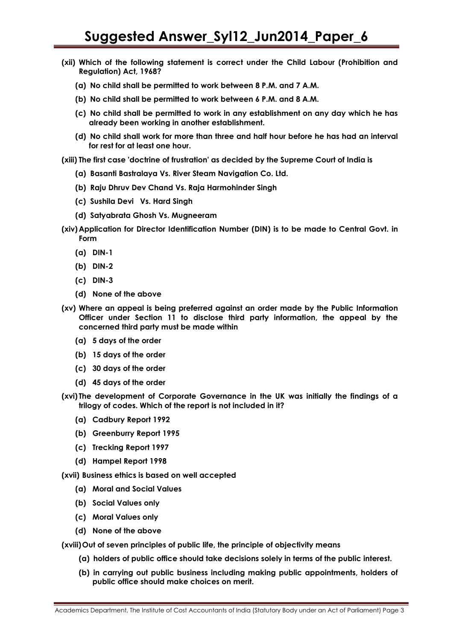- **(xii) Which of the following statement is correct under the Child Labour (Prohibition and Regulation) Act, 1968?**
	- **(a) No child shall be permitted to work between 8 P.M. and 7 A.M.**
	- **(b) No child shall be permitted to work between 6 P.M. and 8 A.M.**
	- **(c) No child shall be permitted to work in any establishment on any day which he has already been working in another establishment.**
	- **(d) No child shall work for more than three and half hour before he has had an interval for rest for at least one hour.**

**(xiii) The first case 'doctrine of frustration' as decided by the Supreme Court of India is**

- **(a) Basanti Bastralaya Vs. River Steam Navigation Co. Ltd.**
- **(b) Raju Dhruv Dev Chand Vs. Raja Harmohinder Singh**
- **(c) Sushila Devi Vs. Hard Singh**
- **(d) Satyabrata Ghosh Vs. Mugneeram**

**(xiv) Application for Director Identification Number (DIN) is to be made to Central Govt. in Form**

- **(a) DIN-1**
- **(b) DIN-2**
- **(c) DIN-3**
- **(d) None of the above**
- **(xv) Where an appeal is being preferred against an order made by the Public Information Officer under Section 11 to disclose third party information, the appeal by the concerned third party must be made within**
	- **(a) 5 days of the order**
	- **(b) 15 days of the order**
	- **(c) 30 days of the order**
	- **(d) 45 days of the order**
- **(xvi) The development of Corporate Governance in the UK was initially the findings of a trilogy of codes. Which of the report is not included in it?**
	- **(a) Cadbury Report 1992**
	- **(b) Greenburry Report 1995**
	- **(c) Trecking Report 1997**
	- **(d) Hampel Report 1998**

**(xvii) Business ethics is based on well accepted**

- **(a) Moral and Social Values**
- **(b) Social Values only**
- **(c) Moral Values only**
- **(d) None of the above**

**(xviii)Out of seven principles of public life, the principle of objectivity means**

- **(a) holders of public office should take decisions solely in terms of the public interest.**
- **(b) in carrying out public business including making public appointments, holders of public office should make choices on merit.**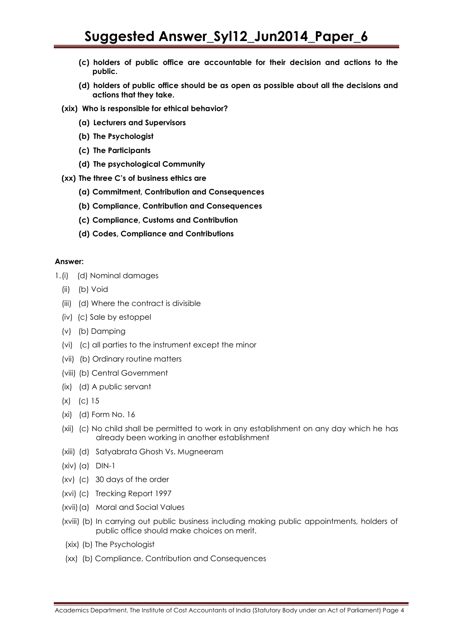- **(c) holders of public office are accountable for their decision and actions to the public.**
- **(d) holders of public office should be as open as possible about all the decisions and actions that they take.**
- **(xix) Who is responsible for ethical behavior?**
	- **(a) Lecturers and Supervisors**
	- **(b) The Psychologist**
	- **(c) The Participants**
	- **(d) The psychological Community**
- **(xx) The three C's of business ethics are**
	- **(a) Commitment, Contribution and Consequences**
	- **(b) Compliance, Contribution and Consequences**
	- **(c) Compliance, Customs and Contribution**
	- **(d) Codes, Compliance and Contributions**

- 1.(i) (d) Nominal damages
	- (ii) (b) Void
	- (iii) (d) Where the contract is divisible
	- (iv) (c) Sale by estoppel
	- (v) (b) Damping
	- (vi) (c) all parties to the instrument except the minor
	- (vii) (b) Ordinary routine matters
	- (viii) (b) Central Government
	- (ix) (d) A public servant
	- (x) (c) 15
	- (xi) (d) Form No. 16
	- (xii) (c) No child shall be permitted to work in any establishment on any day which he has already been working in another establishment
	- (xiii) (d) Satyabrata Ghosh Vs. Mugneeram
	- (xiv) (a) DIN-1
	- (xv) (c) 30 days of the order
	- (xvi) (c) Trecking Report 1997
	- (xvii)(a) Moral and Social Values
	- (xviii) (b) In carrying out public business including making public appointments, holders of public office should make choices on merit.
	- (xix) (b) The Psychologist
	- (xx) (b) Compliance, Contribution and Consequences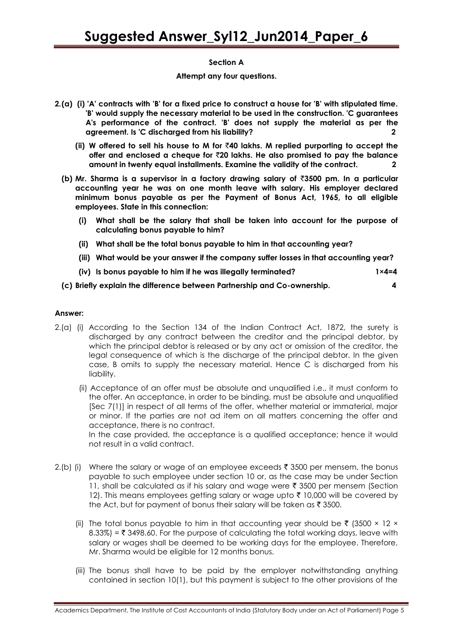#### **Section A**

#### **Attempt any four questions.**

- **2.(a) (i) 'A' contracts with 'B' for a fixed price to construct a house for 'B' with stipulated time. 'B' would supply the necessary material to be used in the construction. 'C guarantees A's performance of the contract. 'B' does not supply the material as per the agreement. Is 'C discharged from his liability? 2**
	- **(ii) W offered to sell his house to M for** `**40 lakhs. M replied purporting to accept the offer and enclosed a cheque for** `**20 lakhs. He also promised to pay the balance amount in twenty equal installments. Examine the validity of the contract. 2**
	- **(b) Mr. Sharma is a supervisor in a factory drawing salary of** `**3500 pm. In a particular accounting year he was on one month leave with salary. His employer declared minimum bonus payable as per the Payment of Bonus Act, 1965, to all eligible employees. State in this connection:**
		- **(i) What shall be the salary that shall be taken into account for the purpose of calculating bonus payable to him?**
		- **(ii) What shall be the total bonus payable to him in that accounting year?**
		- **(iii) What would be your answer if the company suffer losses in that accounting year?**
		- **(iv) Is bonus payable to him if he was illegally terminated? 1×4=4**
	- **(c) Briefly explain the difference between Partnership and Co-ownership. 4**

#### **Answer:**

- 2.(a) (i) According to the Section 134 of the Indian Contract Act, 1872, the surety is discharged by any contract between the creditor and the principal debtor, by which the principal debtor is released or by any act or omission of the creditor, the legal consequence of which is the discharge of the principal debtor. In the given case, B omits to supply the necessary material. Hence C is discharged from his liability.
	- (ii) Acceptance of an offer must be absolute and unqualified i.e., it must conform to the offer. An acceptance, in order to be binding, must be absolute and unqualified [Sec 7(1)] in respect of all terms of the offer, whether material or immaterial, major or minor. If the parties are not ad item on all matters concerning the offer and acceptance, there is no contract.

In the case provided, the acceptance is a qualified acceptance; hence it would not result in a valid contract.

- 2.(b) (i) Where the salary or wage of an employee exceeds ₹ 3500 per mensem, the bonus payable to such employee under section 10 or, as the case may be under Section 11, shall be calculated as if his salary and wage were  $\bar{\tau}$  3500 per mensem (Section 12). This means employees getting salary or wage upto  $\bar{\tau}$  10,000 will be covered by the Act, but for payment of bonus their salary will be taken as  $\bar{\tau}$  3500.
	- (ii) The total bonus payable to him in that accounting year should be  $\bar{\tau}$  (3500 × 12 × 8.33%) =  $\overline{\xi}$  3498.60. For the purpose of calculating the total working days, leave with salary or wages shall be deemed to be working days for the employee. Therefore, Mr. Sharma would be eligible for 12 months bonus.
	- (iii) The bonus shall have to be paid by the employer notwithstanding anything contained in section 10(1), but this payment is subject to the other provisions of the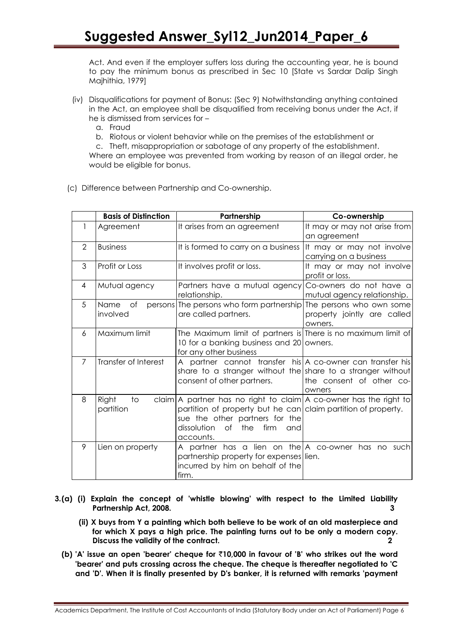Act. And even if the employer suffers loss during the accounting year, he is bound to pay the minimum bonus as prescribed in Sec 10 [State vs Sardar Dalip Singh Majhithia, 1979]

- (iv) Disqualifications for payment of Bonus: (Sec 9) Notwithstanding anything contained in the Act, an employee shall be disqualified from receiving bonus under the Act, if he is dismissed from services for –
	- a. Fraud
	- b. Riotous or violent behavior while on the premises of the establishment or
	- c. Theft, misappropriation or sabotage of any property of the establishment.

Where an employee was prevented from working by reason of an illegal order, he would be eligible for bonus.

(c) Difference between Partnership and Co-ownership.

|               | <b>Basis of Distinction</b> | Partnership                                                                                                                                                                                                                             | Co-ownership                                        |
|---------------|-----------------------------|-----------------------------------------------------------------------------------------------------------------------------------------------------------------------------------------------------------------------------------------|-----------------------------------------------------|
|               | Agreement                   | It arises from an agreement                                                                                                                                                                                                             | It may or may not arise from<br>an agreement        |
| $\mathcal{P}$ | <b>Business</b>             | It is formed to carry on a business                                                                                                                                                                                                     | It may or may not involve<br>carrying on a business |
| 3             | Profit or Loss              | It involves profit or loss.                                                                                                                                                                                                             | It may or may not involve<br>profit or loss.        |
| 4             | Mutual agency               | Partners have a mutual agency Co-owners do not have a<br>relationship.                                                                                                                                                                  | mutual agency relationship.                         |
| 5             | of<br>Name<br>involved      | persons The persons who form partnership The persons who own some<br>are called partners.                                                                                                                                               | property jointly are called<br>owners.              |
| 6             | Maximum limit               | The Maximum limit of partners is There is no maximum limit of<br>10 for a banking business and 20 owners.<br>for any other business                                                                                                     |                                                     |
| 7             | Transfer of Interest        | A partner cannot transfer his A co-owner can transfer his<br>share to a stranger without the share to a stranger without<br>consent of other partners.                                                                                  | the consent of other co-<br>owners                  |
| 8             | Right<br>to<br>partition    | claim   A partner has no right to claim   A co-owner has the right to<br>partition of property but he can claim partition of property.<br>sue the other partners for the<br>dissolution<br>$\circ$ f<br>firm<br>the<br>and<br>accounts. |                                                     |
| 9             | Lien on property            | A partner has a lien on the A co-owner has no such<br>partnership property for expenses lien.<br>incurred by him on behalf of the<br>firm.                                                                                              |                                                     |

- **3.(a) (i) Explain the concept of 'whistle blowing' with respect to the Limited Liability Partnership Act, 2008. 3**
	- **(ii) X buys from Y a painting which both believe to be work of an old masterpiece and for which X pays a high price. The painting turns out to be only a modern copy. Discuss the validity of the contract. 2**
	- **(b) 'A' issue an open 'bearer' cheque for** `**10,000 in favour of 'B' who strikes out the word 'bearer' and puts crossing across the cheque. The cheque is thereafter negotiated to 'C and 'D'. When it is finally presented by D's banker, it is returned with remarks 'payment**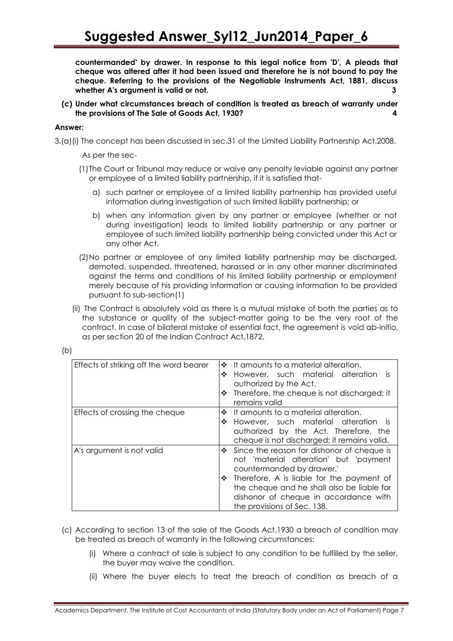**countermanded' by drawer. In response to this legal notice from 'D', A pleads that cheque was altered after it had been issued and therefore he is not bound to pay the cheque. Referring to the provisions of the Negotiable Instruments Act, 1881, discuss whether A's argument is valid or not. 3**

**(c) Under what circumstances breach of condition is treated as breach of warranty under the provisions of The Sale of Goods Act, 1930? 4**

#### **Answer:**

3.(a)(i) The concept has been discussed in sec.31 of the Limited Liability Partnership Act,2008.

As per the sec-

- (1)The Court or Tribunal may reduce or waive any penalty leviable against any partner or employee of a limited liability partnership, if it is satisfied that
	- a) such partner or employee of a limited liability partnership has provided useful information during investigation of such limited liability partnership; or
	- b) when any information given by any partner or employee (whether or not during investigation) leads to limited liability partnership or any partner or employee of such limited liability partnership being convicted under this Act or any other Act.
- (2)No partner or employee of any limited liability partnership may be discharged, demoted, suspended, threatened, harassed or in any other manner discriminated against the terms and conditions of his limited liability partnership or employment merely because of his providing information or causing information to be provided pursuant to sub-section(1)
- (ii) The Contract is absolutely void as there is a mutual mistake of both the parties as to the substance or quality of the subject-matter going to be the very root of the contract. In case of bilateral mistake of essential fact, the agreement is void ab-initio, as per section 20 of the Indian Contract Act,1872,

| Effects of striking off the word bearer | ❖<br>❖ | $\div$ It amounts to a material alteration.<br>However, such material alteration is<br>authorized by the Act.<br>Therefore, the cheque is not discharged; it<br>remains valid                                                                                                          |
|-----------------------------------------|--------|----------------------------------------------------------------------------------------------------------------------------------------------------------------------------------------------------------------------------------------------------------------------------------------|
| Effects of crossing the cheque          | ❖      | ❖ It amounts to a material alteration.<br>However, such material alteration is<br>authorized by the Act. Therefore, the<br>cheque is not discharged; it remains valid.                                                                                                                 |
| A's argument is not valid               |        | Since the reason for dishonor of cheque is<br>not 'material alteration' but 'payment<br>countermanded by drawer.'<br>❖ Therefore, A is liable for the payment of<br>the cheque and he shall also be liable for<br>dishonor of cheque in accordance with<br>the provisions of Sec. 138. |

- (c) According to section 13 of the sale of the Goods Act,1930 a breach of condition may be treated as breach of warranty in the following circumstances:
	- (i) Where a contract of sale is subject to any condition to be fulfilled by the seller, the buyer may waive the condition.
	- (ii) Where the buyer elects to treat the breach of condition as breach of a

(b)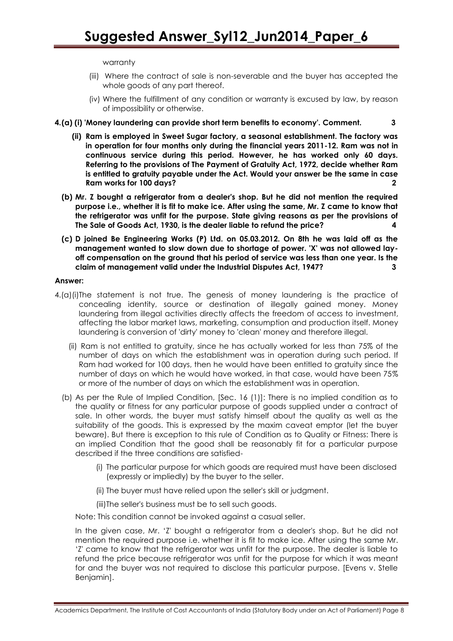warranty

- (iii) Where the contract of sale is non-severable and the buyer has accepted the whole goods of any part thereof.
- (iv) Where the fulfillment of any condition or warranty is excused by law, by reason of impossibility or otherwise.
- **4.(a) (i) 'Money laundering can provide short term benefits to economy'. Comment. 3**
	- **(ii) Ram is employed in Sweet Sugar factory, a seasonal establishment. The factory was in operation for four months only during the financial years 2011-12. Ram was not in continuous service during this period. However, he has worked only 60 days. Referring to the provisions of The Payment of Gratuity Act, 1972, decide whether Ram is entitled to gratuity payable under the Act. Would your answer be the same in case Ram works for 100 days? 2**
	- **(b) Mr. Z bought a refrigerator from a dealer's shop. But he did not mention the required purpose i.e., whether it is fit to make ice. After using the same, Mr. Z came to know that the refrigerator was unfit for the purpose. State giving reasons as per the provisions of The Sale of Goods Act, 1930, is the dealer liable to refund the price? 4**
	- **(c) D joined Be Engineering Works (P) Ltd. on 05.03.2012. On 8th he was laid off as the management wanted to slow down due to shortage of power. 'X' was not allowed layoff compensation on the ground that his period of service was less than one year. Is the claim of management valid under the Industrial Disputes Act, 1947? 3**

#### **Answer:**

- 4.(a)(i)The statement is not true. The genesis of money laundering is the practice of concealing identity, source or destination of illegally gained money. Money laundering from illegal activities directly affects the freedom of access to investment, affecting the labor market laws, marketing, consumption and production itself. Money laundering is conversion of 'dirty' money to 'clean' money and therefore illegal.
	- (ii) Ram is not entitled to gratuity, since he has actually worked for less than 75% of the number of days on which the establishment was in operation during such period. If Ram had worked for 100 days, then he would have been entitled to gratuity since the number of days on which he would have worked, in that case, would have been 75% or more of the number of days on which the establishment was in operation.
	- (b) As per the Rule of Implied Condition, [Sec. 16 (1)]: There is no implied condition as to the quality or fitness for any particular purpose of goods supplied under a contract of sale. In other words, the buyer must satisfy himself about the quality as well as the suitability of the goods. This is expressed by the maxim caveat emptor (let the buyer beware). But there is exception to this rule of Condition as to Quality or Fitness: There is an implied Condition that the good shall be reasonably fit for a particular purpose described if the three conditions are satisfied-
		- (i) The particular purpose for which goods are required must have been disclosed (expressly or impliedly) by the buyer to the seller.
		- (ii) The buyer must have relied upon the seller's skill or judgment.
		- (iii)The seller's business must be to sell such goods.

Note: This condition cannot be invoked against a casual seller.

In the given case, Mr. 'Z' bought a refrigerator from a dealer's shop. But he did not mention the required purpose i.e. whether it is fit to make ice. After using the same Mr. 'Z' came to know that the refrigerator was unfit for the purpose. The dealer is liable to refund the price because refrigerator was unfit for the purpose for which it was meant for and the buyer was not required to disclose this particular purpose. [Evens v. Stelle Benjamin].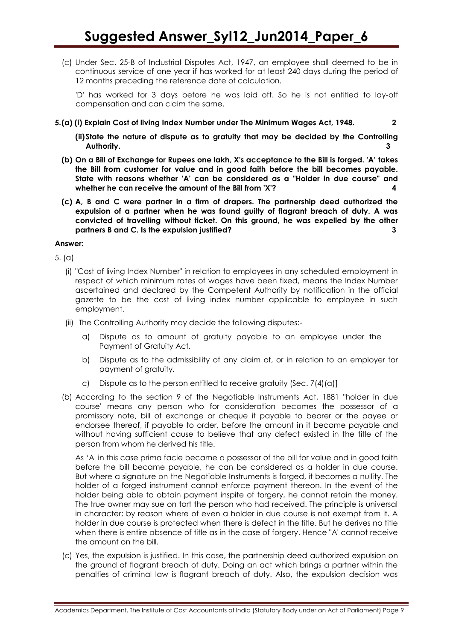(c) Under Sec. 25-B of Industrial Disputes Act, 1947, an employee shall deemed to be in continuous service of one year if has worked for at least 240 days during the period of 12 months preceding the reference date of calculation.

'D' has worked for 3 days before he was laid off. So he is not entitled to lay-off compensation and can claim the same.

- **5.(a) (i) Explain Cost of living Index Number under The Minimum Wages Act, 1948. 2**
	- **(ii)State the nature of dispute as to gratuity that may be decided by the Controlling Authority. 3**
	- **(b) On a Bill of Exchange for Rupees one lakh, X's acceptance to the Bill is forged. 'A' takes the Bill from customer for value and in good faith before the bill becomes payable. State with reasons whether 'A' can be considered as a "Holder in due course" and whether he can receive the amount of the Bill from 'X'? 4**
	- **(c) A, B and C were partner in a firm of drapers. The partnership deed authorized the expulsion of a partner when he was found guilty of flagrant breach of duty. A was convicted of travelling without ticket. On this ground, he was expelled by the other partners B and C. Is the expulsion justified? 3**

#### **Answer:**

5. (a)

- (i) "Cost of living Index Number" in relation to employees in any scheduled employment in respect of which minimum rates of wages have been fixed, means the Index Number ascertained and declared by the Competent Authority by notification in the official gazette to be the cost of living index number applicable to employee in such employment.
- (ii) The Controlling Authority may decide the following disputes:
	- a) Dispute as to amount of gratuity payable to an employee under the Payment of Gratuity Act.
	- b) Dispute as to the admissibility of any claim of, or in relation to an employer for payment of gratuity.
	- c) Dispute as to the person entitled to receive gratuity (Sec. 7(4)(a)]
- (b) According to the section 9 of the Negotiable Instruments Act, 1881 "holder in due course' means any person who for consideration becomes the possessor of a promissory note, bill of exchange or cheque if payable to bearer or the payee or endorsee thereof, if payable to order, before the amount in it became payable and without having sufficient cause to believe that any defect existed in the title of the person from whom he derived his title.

As 'A' in this case prima facie became a possessor of the bill for value and in good faith before the bill became payable, he can be considered as a holder in due course. But where a signature on the Negotiable Instruments is forged, it becomes a nullity. The holder of a forged instrument cannot enforce payment thereon. In the event of the holder being able to obtain payment inspite of forgery, he cannot retain the money. The true owner may sue on tort the person who had received. The principle is universal in character; by reason where of even a holder in due course is not exempt from it. A holder in due course is protected when there is defect in the title. But he derives no title when there is entire absence of title as in the case of forgery. Hence "A' cannot receive the amount on the bill.

(c) Yes, the expulsion is justified. In this case, the partnership deed authorized expulsion on the ground of flagrant breach of duty. Doing an act which brings a partner within the penalties of criminal law is flagrant breach of duty. Also, the expulsion decision was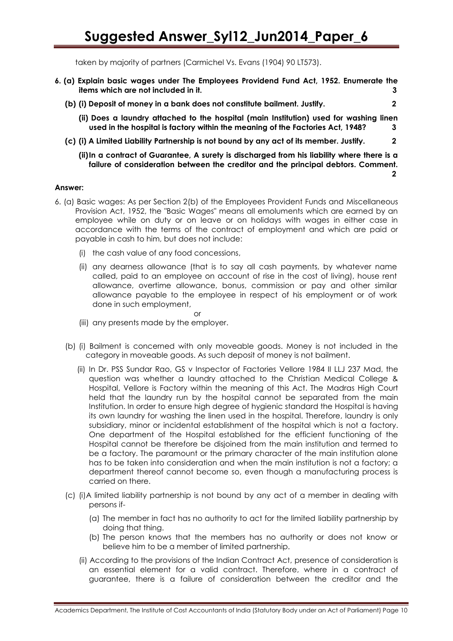taken by majority of partners (Carmichel Vs. Evans (1904) 90 LT573).

- **6. (a) Explain basic wages under The Employees Providend Fund Act, 1952. Enumerate the items which are not included in it. 3**
	- **(b) (i) Deposit of money in a bank does not constitute bailment. Justify. 2**
		- **(ii) Does a laundry attached to the hospital (main Institution) used for washing linen used in the hospital is factory within the meaning of the Factories Act, 1948? 3**
	- **(c) (i) A Limited Liability Partnership is not bound by any act of its member. Justify. 2**
		- **(ii)In a contract of Guarantee, A surety is discharged from his liability where there is a failure of consideration between the creditor and the principal debtors. Comment.**

 **2**

- 6. (a) Basic wages: As per Section 2(b) of the Employees Provident Funds and Miscellaneous Provision Act, 1952, the "Basic Wages" means all emoluments which are earned by an employee while on duty or on leave or on holidays with wages in either case in accordance with the terms of the contract of employment and which are paid or payable in cash to him, but does not include:
	- (i) the cash value of any food concessions,
	- (ii) any dearness allowance (that is to say all cash payments, by whatever name called, paid to an employee on account of rise in the cost of living), house rent allowance, overtime allowance, bonus, commission or pay and other similar allowance payable to the employee in respect of his employment or of work done in such employment,
- **or** and the contract of the contract of the contract of the contract of the contract of the contract of the contract of the contract of the contract of the contract of the contract of the contract of the contract of the c
	- (iii) any presents made by the employer.
	- (b) (i) Bailment is concerned with only moveable goods. Money is not included in the category in moveable goods. As such deposit of money is not bailment.
		- (ii) In Dr. PSS Sundar Rao, GS v Inspector of Factories Vellore 1984 II LLJ 237 Mad, the question was whether a laundry attached to the Christian Medical College & Hospital, Vellore is Factory within the meaning of this Act. The Madras High Court held that the laundry run by the hospital cannot be separated from the main Institution. In order to ensure high degree of hygienic standard the Hospital is having its own laundry for washing the linen used in the hospital. Therefore, laundry is only subsidiary, minor or incidental establishment of the hospital which is not a factory. One department of the Hospital established for the efficient functioning of the Hospital cannot be therefore be disjoined from the main institution and termed to be a factory. The paramount or the primary character of the main institution alone has to be taken into consideration and when the main institution is not a factory; a department thereof cannot become so, even though a manufacturing process is carried on there.
	- (c) (i)A limited liability partnership is not bound by any act of a member in dealing with persons if-
		- (a) The member in fact has no authority to act for the limited liability partnership by doing that thing.
		- (b) The person knows that the members has no authority or does not know or believe him to be a member of limited partnership.
		- (ii) According to the provisions of the Indian Contract Act, presence of consideration is an essential element for a valid contract. Therefore, where in a contract of guarantee, there is a failure of consideration between the creditor and the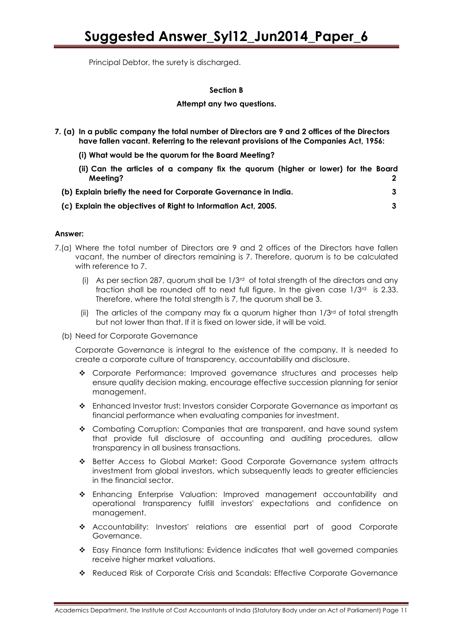Principal Debtor, the surety is discharged.

#### **Section B**

#### **Attempt any two questions.**

- **7. (a) In a public company the total number of Directors are 9 and 2 offices of the Directors have fallen vacant. Referring to the relevant provisions of the Companies Act, 1956:**
	- **(i) What would be the quorum for the Board Meeting?**
	- **(ii) Can the articles of a company fix the quorum (higher or lower) for the Board Meeting? 2**
	- **(b) Explain briefly the need for Corporate Governance in India. 3**
	- **(c) Explain the objectives of Right to Information Act, 2005. 3**

#### **Answer:**

- 7.(a) Where the total number of Directors are 9 and 2 offices of the Directors have fallen vacant, the number of directors remaining is 7. Therefore, quorum is to be calculated with reference to 7.
	- (i) As per section 287, quorum shall be  $1/3<sup>rd</sup>$  of total strength of the directors and any fraction shall be rounded off to next full figure. In the given case 1/3rd is 2.33. Therefore, where the total strength is 7, the quorum shall be 3.
	- (ii) The articles of the company may fix a quorum higher than  $1/3<sup>rd</sup>$  of total strength but not lower than that. If it is fixed on lower side, it will be void.
	- (b) Need for Corporate Governance

Corporate Governance is integral to the existence of the company. It is needed to create a corporate culture of transparency, accountability and disclosure.

- Corporate Performance: Improved governance structures and processes help ensure quality decision making, encourage effective succession planning for senior management.
- Enhanced Investor trust: Investors consider Corporate Governance as important as financial performance when evaluating companies for investment.
- Combating Corruption: Companies that are transparent, and have sound system that provide full disclosure of accounting and auditing procedures, allow transparency in all business transactions.
- Better Access to Global Market: Good Corporate Governance system attracts investment from global investors, which subsequently leads to greater efficiencies in the financial sector.
- Enhancing Enterprise Valuation: Improved management accountability and operational transparency fulfill investors' expectations and confidence on management.
- Accountability: Investors' relations are essential part of good Corporate Governance.
- Easy Finance form Institutions: Evidence indicates that well governed companies receive higher market valuations.
- Reduced Risk of Corporate Crisis and Scandals: Effective Corporate Governance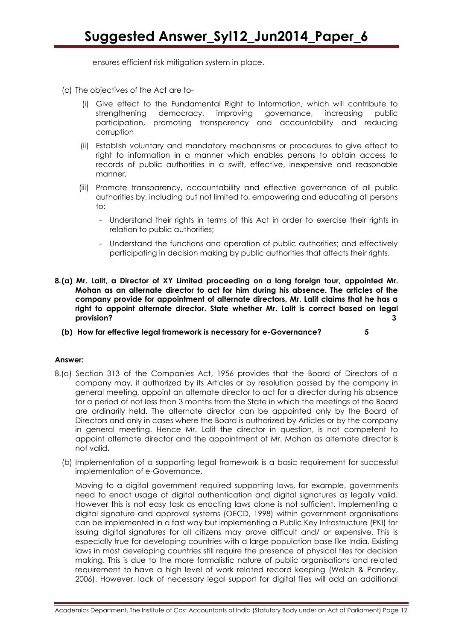ensures efficient risk mitigation system in place.

- (c) The objectives of the Act are to-
	- (i) Give effect to the Fundamental Right to Information, which will contribute to strengthening democracy, improving governance, increasing public participation, promoting transparency and accountability and reducing corruption
	- (ii) Establish voluntary and mandatory mechanisms or procedures to give effect to right to information in a manner which enables persons to obtain access to records of public authorities in a swift, effective, inexpensive and reasonable manner,
	- (iii) Promote transparency, accountability and effective governance of all public authorities by, including but not limited to, empowering and educating all persons to:
		- Understand their rights in terms of this Act in order to exercise their rights in relation to public authorities;
		- Understand the functions and operation of public authorities; and effectively participating in decision making by public authorities that affects their rights.
- **8.(a) Mr. Lalit, a Director of XY Limited proceeding on a long foreign tour, appointed Mr. Mohan as an alternate director to act for him during his absence. The articles of the company provide for appointment of alternate directors. Mr. Lalit claims that he has a right to appoint alternate director. State whether Mr. Lalit is correct based on legal provision? 3**
	- **(b) How far effective legal framework is necessary for e-Governance? 5**

#### **Answer:**

- 8.(a) Section 313 of the Companies Act, 1956 provides that the Board of Directors of a company may, if authorized by its Articles or by resolution passed by the company in general meeting, appoint an alternate director to act for a director during his absence for a period of not less than 3 months from the State in which the meetings of the Board are ordinarily held. The alternate director can be appointed only by the Board of Directors and only in cases where the Board is authorized by Articles or by the company in general meeting. Hence Mr. Lalit the director in question, is not competent to appoint alternate director and the appointment of Mr. Mohan as alternate director is not valid.
	- (b) Implementation of a supporting legal framework is a basic requirement for successful implementation of e-Governance.

Moving to a digital government required supporting laws, for example, governments need to enact usage of digital authentication and digital signatures as legally valid. However this is not easy task as enacting laws alone is not sufficient. Implementing a digital signature and approval systems (OECD, 1998) within government organisations can be implemented in a fast way but implementing a Public Key Infrastructure (PKI) for issuing digital signatures for all citizens may prove difficult and/ or expensive. This is especially true for developing countries with a large population base like India. Existing laws in most developing countries still require the presence of physical files for decision making. This is due to the more formalistic nature of public organisations and related requirement to have a high level of work related record keeping (Welch & Pandey, 2006). However, lack of necessary legal support for digital files will add an additional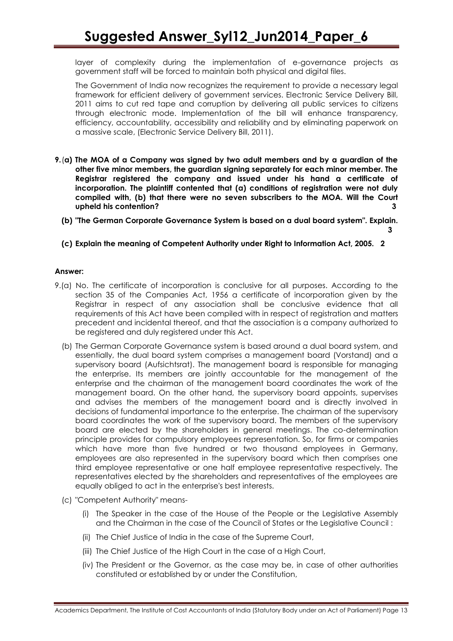layer of complexity during the implementation of e-governance projects as government staff will be forced to maintain both physical and digital files.

The Government of India now recognizes the requirement to provide a necessary legal framework for efficient delivery of government services. Electronic Service Delivery Bill, 2011 aims to cut red tape and corruption by delivering all public services to citizens through electronic mode. Implementation of the bill will enhance transparency, efficiency, accountability, accessibility and reliability and by eliminating paperwork on a massive scale, (Electronic Service Delivery Bill, 2011).

- **9.**(**a) The MOA of a Company was signed by two adult members and by a guardian of the other five minor members, the guardian signing separately for each minor member. The Registrar registered the company and issued under his hand a certificate of incorporation. The plaintiff contented that (a) conditions of registration were not duly compiled with, (b) that there were no seven subscribers to the MOA. Will the Court upheld his contention? 3**
	- **(b) "The German Corporate Governance System is based on a dual board system". Explain.**

**3** 

**(c) Explain the meaning of Competent Authority under Right to Information Act, 2005. 2** 

- 9.(a) No. The certificate of incorporation is conclusive for all purposes. According to the section 35 of the Companies Act, 1956 a certificate of incorporation given by the Registrar in respect of any association shall be conclusive evidence that all requirements of this Act have been compiled with in respect of registration and matters precedent and incidental thereof, and that the association is a company authorized to be registered and duly registered under this Act.
	- (b) The German Corporate Governance system is based around a dual board system, and essentially, the dual board system comprises a management board (Vorstand) and a supervisory board (Aufsichtsrat). The management board is responsible for managing the enterprise. Its members are jointly accountable for the management of the enterprise and the chairman of the management board coordinates the work of the management board. On the other hand, the supervisory board appoints, supervises and advises the members of the management board and is directly involved in decisions of fundamental importance to the enterprise. The chairman of the supervisory board coordinates the work of the supervisory board. The members of the supervisory board are elected by the shareholders in general meetings. The co-determination principle provides for compulsory employees representation. So, for firms or companies which have more than five hundred or two thousand employees in Germany, employees are also represented in the supervisory board which then comprises one third employee representative or one half employee representative respectively. The representatives elected by the shareholders and representatives of the employees are equally obliged to act in the enterprise's best interests.
	- (c) "Competent Authority" means-
		- (i) The Speaker in the case of the House of the People or the Legislative Assembly and the Chairman in the case of the Council of States or the Legislative Council :
		- (ii) The Chief Justice of India in the case of the Supreme Court,
		- (iii) The Chief Justice of the High Court in the case of a High Court,
		- (iv) The President or the Governor, as the case may be, in case of other authorities constituted or established by or under the Constitution,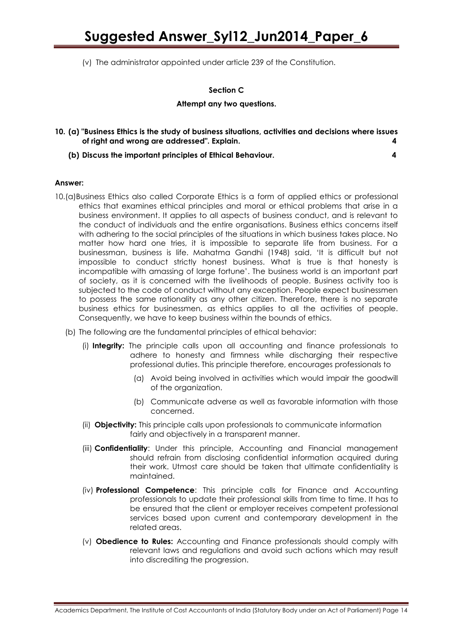(v) The administrator appointed under article 239 of the Constitution.

#### **Section C**

#### **Attempt any two questions.**

| 10. (a) "Business Ethics is the study of business situations, activities and decisions where issues |  |
|-----------------------------------------------------------------------------------------------------|--|
| of right and wrong are addressed". Explain.                                                         |  |
| (b) Discuss the important principles of Ethical Behaviour.                                          |  |

- 10.(a)Business Ethics also called Corporate Ethics is a form of applied ethics or professional ethics that examines ethical principles and moral or ethical problems that arise in a business environment. It applies to all aspects of business conduct, and is relevant to the conduct of individuals and the entire organisations. Business ethics concerns itself with adhering to the social principles of the situations in which business takes place. No matter how hard one tries, it is impossible to separate life from business. For a businessman, business is life. Mahatma Gandhi (1948) said, 'It is difficult but not impossible to conduct strictly honest business. What is true is that honesty is incompatible with amassing of large fortune'. The business world is an important part of society, as it is concerned with the livelihoods of people. Business activity too is subjected to the code of conduct without any exception. People expect businessmen to possess the same rationality as any other citizen. Therefore, there is no separate business ethics for businessmen, as ethics applies to all the activities of people. Consequently, we have to keep business within the bounds of ethics.
	- (b) The following are the fundamental principles of ethical behavior:
		- (i) **Integrity:** The principle calls upon all accounting and finance professionals to adhere to honesty and firmness while discharging their respective professional duties. This principle therefore, encourages professionals to
			- (a) Avoid being involved in activities which would impair the goodwill of the organization.
			- (b) Communicate adverse as well as favorable information with those concerned.
		- (ii) **Objectivity:** This principle calls upon professionals to communicate information fairly and objectively in a transparent manner.
		- (iii) **Confidentiality**: Under this principle, Accounting and Financial management should refrain from disclosing confidential information acquired during their work. Utmost care should be taken that ultimate confidentiality is maintained.
		- (iv) **Professional Competence**: This principle calls for Finance and Accounting professionals to update their professional skills from time to time. It has to be ensured that the client or employer receives competent professional services based upon current and contemporary development in the related areas.
		- (v) **Obedience to Rules:** Accounting and Finance professionals should comply with relevant laws and regulations and avoid such actions which may result into discrediting the progression.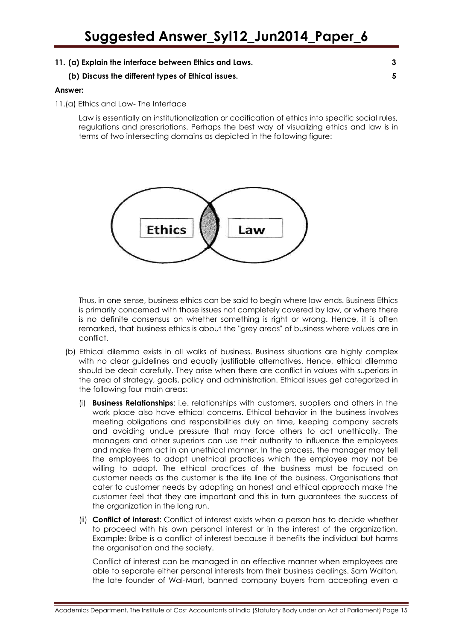#### **11. (a) Explain the interface between Ethics and Laws. 3**

#### **(b) Discuss the different types of Ethical issues. 5**

#### **Answer:**

11.(a) Ethics and Law- The Interface

Law is essentially an institutionalization or codification of ethics into specific social rules, regulations and prescriptions. Perhaps the best way of visualizing ethics and law is in terms of two intersecting domains as depicted in the following figure:



Thus, in one sense, business ethics can be said to begin where law ends. Business Ethics is primarily concerned with those issues not completely covered by law, or where there is no definite consensus on whether something is right or wrong. Hence, it is often remarked, that business ethics is about the "grey areas" of business where values are in conflict.

- (b) Ethical dilemma exists in all walks of business. Business situations are highly complex with no clear guidelines and equally justifiable alternatives. Hence, ethical dilemma should be dealt carefully. They arise when there are conflict in values with superiors in the area of strategy, goals, policy and administration. Ethical issues get categorized in the following four main areas:
	- (i) **Business Relationships**: i.e. relationships with customers, suppliers and others in the work place also have ethical concerns. Ethical behavior in the business involves meeting obligations and responsibilities duly on time, keeping company secrets and avoiding undue pressure that may force others to act unethically. The managers and other superiors can use their authority to influence the employees and make them act in an unethical manner. In the process, the manager may tell the employees to adopt unethical practices which the employee may not be willing to adopt. The ethical practices of the business must be focused on customer needs as the customer is the life line of the business. Organisations that cater to customer needs by adopting an honest and ethical approach make the customer feel that they are important and this in turn guarantees the success of the organization in the long run.
	- (ii) **Conflict of interest**: Conflict of interest exists when a person has to decide whether to proceed with his own personal interest or in the interest of the organization. Example: Bribe is a conflict of interest because it benefits the individual but harms the organisation and the society.

Conflict of interest can be managed in an effective manner when employees are able to separate either personal interests from their business dealings. Sam Walton, the late founder of Wal-Mart, banned company buyers from accepting even a